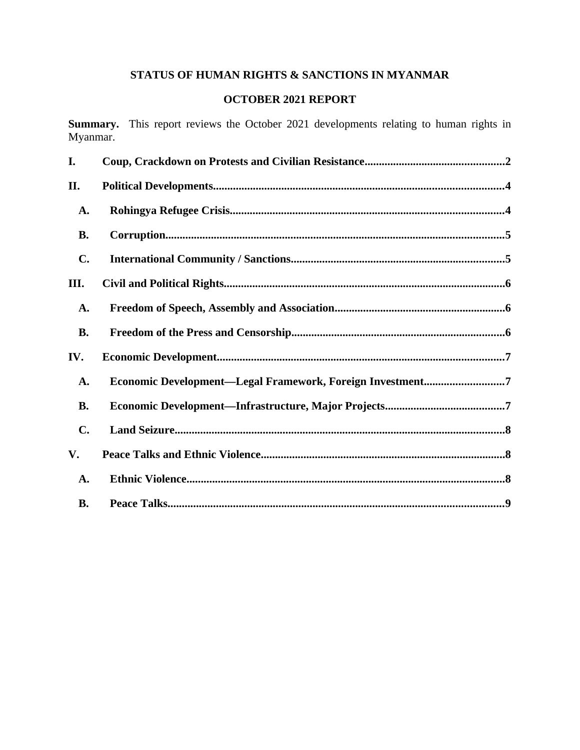# **STATUS OF HUMAN RIGHTS & SANCTIONS IN MYANMAR**

# **OCTOBER 2021 REPORT**

**Summary.** This report reviews the October 2021 developments relating to human rights in Myanmar.

| I.             |                                                           |
|----------------|-----------------------------------------------------------|
| II.            |                                                           |
| A.             |                                                           |
| <b>B.</b>      |                                                           |
| C.             |                                                           |
| III.           |                                                           |
| A.             |                                                           |
| <b>B.</b>      |                                                           |
| IV.            |                                                           |
| A.             | Economic Development-Legal Framework, Foreign Investment7 |
| <b>B.</b>      |                                                           |
| $\mathbf{C}$ . |                                                           |
| V.             |                                                           |
| A.             |                                                           |
| <b>B.</b>      |                                                           |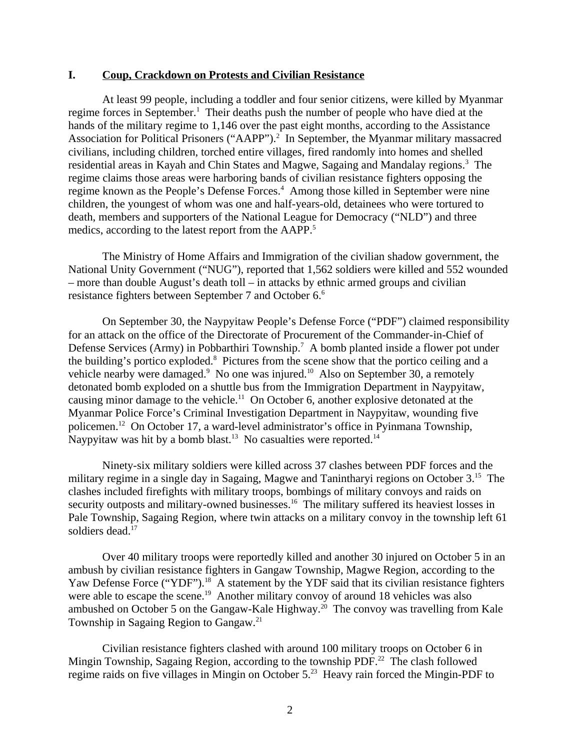#### <span id="page-1-0"></span>**I. Coup, Crackdown on Protests and Civilian Resistance**

At least 99 people, including a toddler and four senior citizens, were killed by Myanmar regime forces in September.<sup>1</sup> Their deaths push the number of people who have died at the hands of the military regime to 1,146 over the past eight months, according to the Assistance Association for Political Prisoners ("AAPP").<sup>2</sup> In September, the Myanmar military massacred civilians, including children, torched entire villages, fired randomly into homes and shelled residential areas in Kayah and Chin States and Magwe, Sagaing and Mandalay regions. $^3$  The regime claims those areas were harboring bands of civilian resistance fighters opposing the regime known as the People's Defense Forces.<sup>4</sup> Among those killed in September were nine children, the youngest of whom was one and half-years-old, detainees who were tortured to death, members and supporters of the National League for Democracy ("NLD") and three medics, according to the latest report from the AAPP.<sup>5</sup>

The Ministry of Home Affairs and Immigration of the civilian shadow government, the National Unity Government ("NUG"), reported that 1,562 soldiers were killed and 552 wounded – more than double August's death toll – in attacks by ethnic armed groups and civilian resistance fighters between September 7 and October 6.<sup>6</sup>

On September 30, the Naypyitaw People's Defense Force ("PDF") claimed responsibility for an attack on the office of the Directorate of Procurement of the Commander-in-Chief of Defense Services (Army) in Pobbarthiri Township.<sup>7</sup> A bomb planted inside a flower pot under the building's portico exploded.<sup>8</sup> Pictures from the scene show that the portico ceiling and a vehicle nearby were damaged. $9$  No one was injured.<sup>10</sup> Also on September 30, a remotely detonated bomb exploded on a shuttle bus from the Immigration Department in Naypyitaw, causing minor damage to the vehicle.<sup>11</sup> On October 6, another explosive detonated at the Myanmar Police Force's Criminal Investigation Department in Naypyitaw, wounding five policemen.<sup>12</sup> On October 17, a ward-level administrator's office in Pyinmana Township, Naypyitaw was hit by a bomb blast.<sup>13</sup> No casualties were reported.<sup>14</sup>

Ninety-six military soldiers were killed across 37 clashes between PDF forces and the military regime in a single day in Sagaing, Magwe and Tanintharyi regions on October 3.<sup>15</sup> The clashes included firefights with military troops, bombings of military convoys and raids on security outposts and military-owned businesses.<sup>16</sup> The military suffered its heaviest losses in Pale Township, Sagaing Region, where twin attacks on a military convoy in the township left 61 soldiers dead.<sup>17</sup>

Over 40 military troops were reportedly killed and another 30 injured on October 5 in an ambush by civilian resistance fighters in Gangaw Township, Magwe Region, according to the Yaw Defense Force ("YDF").<sup>18</sup> A statement by the YDF said that its civilian resistance fighters were able to escape the scene.<sup>19</sup> Another military convoy of around 18 vehicles was also ambushed on October 5 on the Gangaw-Kale Highway.<sup>20</sup> The convoy was travelling from Kale Township in Sagaing Region to Gangaw.<sup>21</sup>

Civilian resistance fighters clashed with around 100 military troops on October 6 in Mingin Township, Sagaing Region, according to the township PDF.<sup>22</sup> The clash followed regime raids on five villages in Mingin on October 5.<sup>23</sup> Heavy rain forced the Mingin-PDF to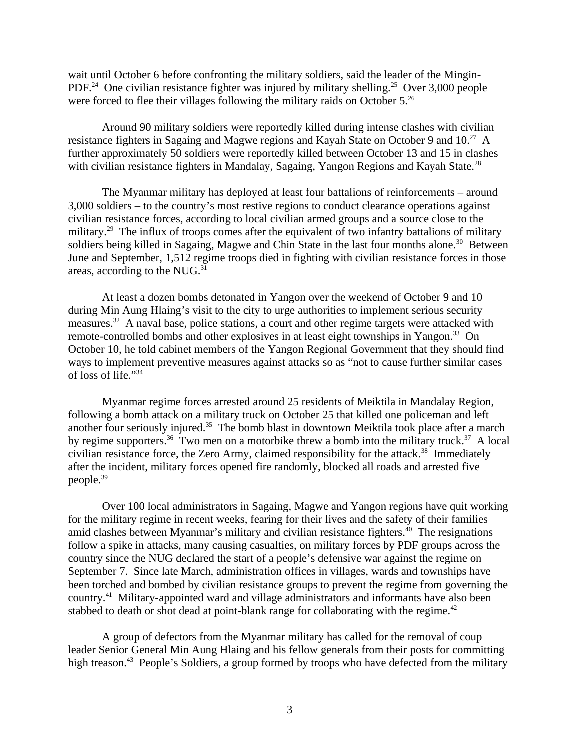wait until October 6 before confronting the military soldiers, said the leader of the Mingin-PDF.<sup>24</sup> One civilian resistance fighter was injured by military shelling.<sup>25</sup> Over 3,000 people were forced to flee their villages following the military raids on October 5.<sup>26</sup>

Around 90 military soldiers were reportedly killed during intense clashes with civilian resistance fighters in Sagaing and Magwe regions and Kayah State on October 9 and 10.<sup>27</sup> A further approximately 50 soldiers were reportedly killed between October 13 and 15 in clashes with civilian resistance fighters in Mandalay, Sagaing, Yangon Regions and Kayah State.<sup>28</sup>

The Myanmar military has deployed at least four battalions of reinforcements – around 3,000 soldiers – to the country's most restive regions to conduct clearance operations against civilian resistance forces, according to local civilian armed groups and a source close to the military.<sup>29</sup> The influx of troops comes after the equivalent of two infantry battalions of military soldiers being killed in Sagaing, Magwe and Chin State in the last four months alone.<sup>30</sup> Between June and September, 1,512 regime troops died in fighting with civilian resistance forces in those areas, according to the NUG.<sup>31</sup>

At least a dozen bombs detonated in Yangon over the weekend of October 9 and 10 during Min Aung Hlaing's visit to the city to urge authorities to implement serious security measures.<sup>32</sup> A naval base, police stations, a court and other regime targets were attacked with remote-controlled bombs and other explosives in at least eight townships in Yangon.<sup>33</sup> On October 10, he told cabinet members of the Yangon Regional Government that they should find ways to implement preventive measures against attacks so as "not to cause further similar cases of loss of life."<sup>34</sup>

Myanmar regime forces arrested around 25 residents of Meiktila in Mandalay Region, following a bomb attack on a military truck on October 25 that killed one policeman and left another four seriously injured.<sup>35</sup> The bomb blast in downtown Meiktila took place after a march by regime supporters.<sup>36</sup> Two men on a motorbike threw a bomb into the military truck.<sup>37</sup> A local civilian resistance force, the Zero Army, claimed responsibility for the attack.<sup>38</sup> Immediately after the incident, military forces opened fire randomly, blocked all roads and arrested five people.<sup>39</sup>

Over 100 local administrators in Sagaing, Magwe and Yangon regions have quit working for the military regime in recent weeks, fearing for their lives and the safety of their families amid clashes between Myanmar's military and civilian resistance fighters.<sup>40</sup> The resignations follow a spike in attacks, many causing casualties, on military forces by PDF groups across the country since the NUG declared the start of a people's defensive war against the regime on September 7. Since late March, administration offices in villages, wards and townships have been torched and bombed by civilian resistance groups to prevent the regime from governing the country.<sup>41</sup> Military-appointed ward and village administrators and informants have also been stabbed to death or shot dead at point-blank range for collaborating with the regime.<sup>42</sup>

A group of defectors from the Myanmar military has called for the removal of coup leader Senior General Min Aung Hlaing and his fellow generals from their posts for committing high treason.<sup>43</sup> People's Soldiers, a group formed by troops who have defected from the military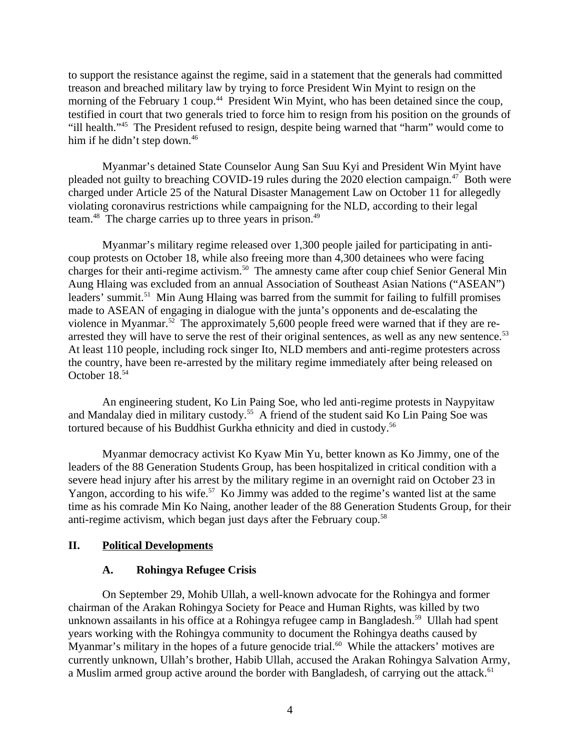to support the resistance against the regime, said in a statement that the generals had committed treason and breached military law by trying to force President Win Myint to resign on the morning of the February 1 coup.<sup>44</sup> President Win Myint, who has been detained since the coup, testified in court that two generals tried to force him to resign from his position on the grounds of "ill health."<sup>45</sup> The President refused to resign, despite being warned that "harm" would come to him if he didn't step down.<sup>46</sup>

Myanmar's detained State Counselor Aung San Suu Kyi and President Win Myint have pleaded not guilty to breaching COVID-19 rules during the 2020 election campaign.<sup>47</sup> Both were charged under Article 25 of the Natural Disaster Management Law on October 11 for allegedly violating coronavirus restrictions while campaigning for the NLD, according to their legal team.<sup>48</sup> The charge carries up to three years in prison.<sup>49</sup>

Myanmar's military regime released over 1,300 people jailed for participating in anticoup protests on October 18, while also freeing more than 4,300 detainees who were facing charges for their anti-regime activism.<sup>50</sup> The amnesty came after coup chief Senior General Min Aung Hlaing was excluded from an annual Association of Southeast Asian Nations ("ASEAN") leaders' summit.<sup>51</sup> Min Aung Hlaing was barred from the summit for failing to fulfill promises made to ASEAN of engaging in dialogue with the junta's opponents and de-escalating the violence in Myanmar.<sup>52</sup> The approximately 5,600 people freed were warned that if they are rearrested they will have to serve the rest of their original sentences, as well as any new sentence.<sup>53</sup> At least 110 people, including rock singer Ito, NLD members and anti-regime protesters across the country, have been re-arrested by the military regime immediately after being released on October 18.<sup>54</sup>

An engineering student, Ko Lin Paing Soe, who led anti-regime protests in Naypyitaw and Mandalay died in military custody.<sup>55</sup> A friend of the student said Ko Lin Paing Soe was tortured because of his Buddhist Gurkha ethnicity and died in custody.<sup>56</sup>

Myanmar democracy activist Ko Kyaw Min Yu, better known as Ko Jimmy, one of the leaders of the 88 Generation Students Group, has been hospitalized in critical condition with a severe head injury after his arrest by the military regime in an overnight raid on October 23 in Yangon, according to his wife.<sup>57</sup> Ko Jimmy was added to the regime's wanted list at the same time as his comrade Min Ko Naing, another leader of the 88 Generation Students Group, for their anti-regime activism, which began just days after the February coup.<sup>58</sup>

### **II. Political Developments**

### <span id="page-3-1"></span><span id="page-3-0"></span>**A. Rohingya Refugee Crisis**

On September 29, Mohib Ullah, a well-known advocate for the Rohingya and former chairman of the Arakan Rohingya Society for Peace and Human Rights, was killed by two unknown assailants in his office at a Rohingya refugee camp in Bangladesh.<sup>59</sup> Ullah had spent years working with the Rohingya community to document the Rohingya deaths caused by Myanmar's military in the hopes of a future genocide trial.<sup>60</sup> While the attackers' motives are currently unknown, Ullah's brother, Habib Ullah, accused the Arakan Rohingya Salvation Army, a Muslim armed group active around the border with Bangladesh, of carrying out the attack.<sup>61</sup>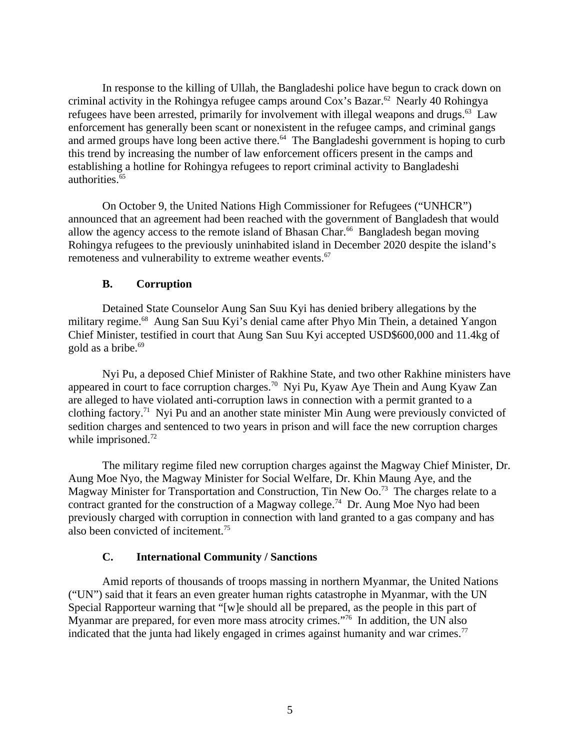In response to the killing of Ullah, the Bangladeshi police have begun to crack down on criminal activity in the Rohingya refugee camps around  $\cos$ 's Bazar.<sup>62</sup> Nearly 40 Rohingya refugees have been arrested, primarily for involvement with illegal weapons and drugs.<sup>63</sup> Law enforcement has generally been scant or nonexistent in the refugee camps, and criminal gangs and armed groups have long been active there. $64$  The Bangladeshi government is hoping to curb this trend by increasing the number of law enforcement officers present in the camps and establishing a hotline for Rohingya refugees to report criminal activity to Bangladeshi authorities.  $65$ 

On October 9, the United Nations High Commissioner for Refugees ("UNHCR") announced that an agreement had been reached with the government of Bangladesh that would allow the agency access to the remote island of Bhasan Char. $^{66}$  Bangladesh began moving Rohingya refugees to the previously uninhabited island in December 2020 despite the island's remoteness and vulnerability to extreme weather events.<sup>67</sup>

### <span id="page-4-1"></span>**B. Corruption**

Detained State Counselor Aung San Suu Kyi has denied bribery allegations by the military regime.<sup>68</sup> Aung San Suu Kyi's denial came after Phyo Min Thein, a detained Yangon Chief Minister, testified in court that Aung San Suu Kyi accepted USD\$600,000 and 11.4kg of gold as a bribe. $69$ 

Nyi Pu, a deposed Chief Minister of Rakhine State, and two other Rakhine ministers have appeared in court to face corruption charges.<sup>70</sup> Nyi Pu, Kyaw Aye Thein and Aung Kyaw Zan are alleged to have violated anti-corruption laws in connection with a permit granted to a clothing factory.<sup>71</sup> Nyi Pu and an another state minister Min Aung were previously convicted of sedition charges and sentenced to two years in prison and will face the new corruption charges while imprisoned.<sup>72</sup>

The military regime filed new corruption charges against the Magway Chief Minister, Dr. Aung Moe Nyo, the Magway Minister for Social Welfare, Dr. Khin Maung Aye, and the Magway Minister for Transportation and Construction, Tin New  $\Omega$ o.<sup>73</sup> The charges relate to a contract granted for the construction of a Magway college.<sup>74</sup> Dr. Aung Moe Nyo had been previously charged with corruption in connection with land granted to a gas company and has also been convicted of incitement.<sup>75</sup>

## <span id="page-4-0"></span>**C. International Community / Sanctions**

Amid reports of thousands of troops massing in northern Myanmar, the United Nations ("UN") said that it fears an even greater human rights catastrophe in Myanmar, with the UN Special Rapporteur warning that "[w]e should all be prepared, as the people in this part of Myanmar are prepared, for even more mass atrocity crimes."<sup>76</sup> In addition, the UN also indicated that the junta had likely engaged in crimes against humanity and war crimes. $77$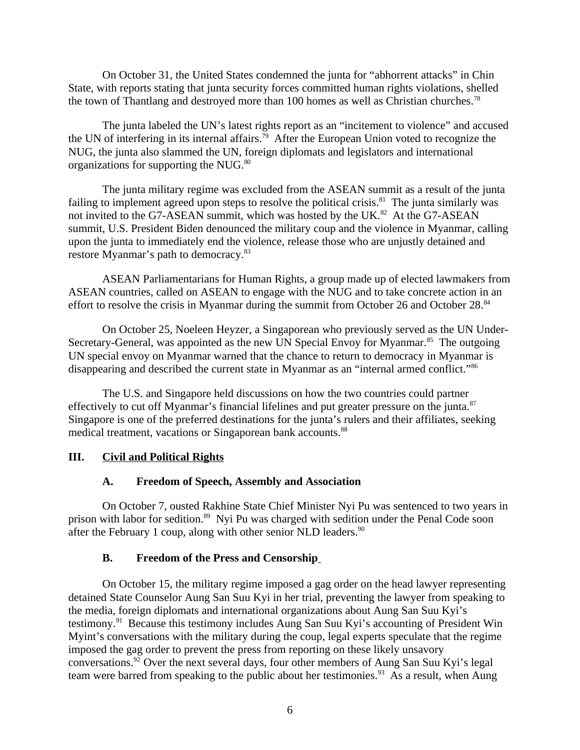On October 31, the United States condemned the junta for "abhorrent attacks" in Chin State, with reports stating that junta security forces committed human rights violations, shelled the town of Thantlang and destroyed more than 100 homes as well as Christian churches.<sup>78</sup>

The junta labeled the UN's latest rights report as an "incitement to violence" and accused the UN of interfering in its internal affairs.<sup>79</sup> After the European Union voted to recognize the NUG, the junta also slammed the UN, foreign diplomats and legislators and international organizations for supporting the  $NUG$ .<sup>80</sup>

The junta military regime was excluded from the ASEAN summit as a result of the junta failing to implement agreed upon steps to resolve the political crisis.<sup>81</sup> The junta similarly was not invited to the G7-ASEAN summit, which was hosted by the UK.<sup>82</sup> At the G7-ASEAN summit, U.S. President Biden denounced the military coup and the violence in Myanmar, calling upon the junta to immediately end the violence, release those who are unjustly detained and restore Myanmar's path to democracy.<sup>83</sup>

ASEAN Parliamentarians for Human Rights, a group made up of elected lawmakers from ASEAN countries, called on ASEAN to engage with the NUG and to take concrete action in an effort to resolve the crisis in Myanmar during the summit from October 26 and October 28.<sup>84</sup>

On October 25, Noeleen Heyzer, a Singaporean who previously served as the UN Under-Secretary-General, was appointed as the new UN Special Envoy for Myanmar.<sup>85</sup> The outgoing UN special envoy on Myanmar warned that the chance to return to democracy in Myanmar is disappearing and described the current state in Myanmar as an "internal armed conflict."<sup>86</sup>

The U.S. and Singapore held discussions on how the two countries could partner effectively to cut off Myanmar's financial lifelines and put greater pressure on the junta. $87$ Singapore is one of the preferred destinations for the junta's rulers and their affiliates, seeking medical treatment, vacations or Singaporean bank accounts.<sup>88</sup>

### **III. Civil and Political Rights**

## <span id="page-5-2"></span><span id="page-5-1"></span>**A. Freedom of Speech, Assembly and Association**

On October 7, ousted Rakhine State Chief Minister Nyi Pu was sentenced to two years in prison with labor for sedition.<sup>89</sup> Nyi Pu was charged with sedition under the Penal Code soon after the February 1 coup, along with other senior NLD leaders.<sup>90</sup>

### <span id="page-5-0"></span>**B. Freedom of the Press and Censorship**

On October 15, the military regime imposed a gag order on the head lawyer representing detained State Counselor Aung San Suu Kyi in her trial, preventing the lawyer from speaking to the media, foreign diplomats and international organizations about Aung San Suu Kyi's testimony.<sup>91</sup> Because this testimony includes Aung San Suu Kyi's accounting of President Win Myint's conversations with the military during the coup, legal experts speculate that the regime imposed the gag order to prevent the press from reporting on these likely unsavory conversations.<sup>92</sup> Over the next several days, four other members of Aung San Suu Kyi's legal team were barred from speaking to the public about her testimonies.<sup>93</sup> As a result, when Aung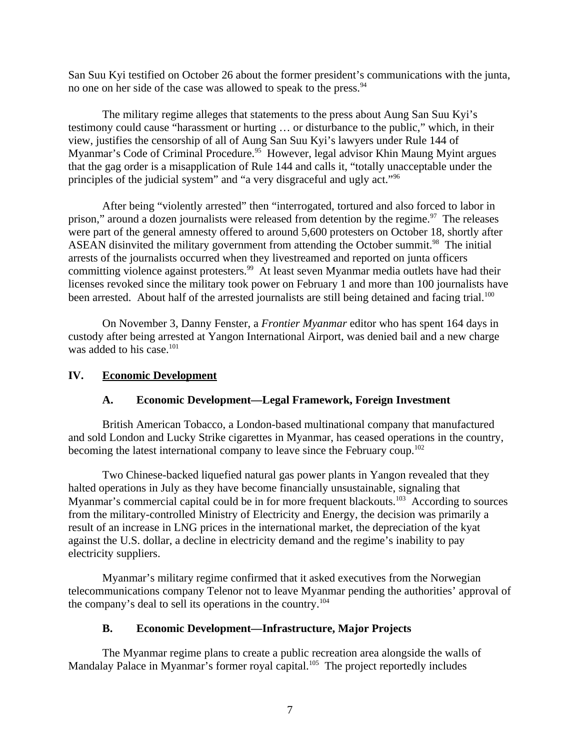San Suu Kyi testified on October 26 about the former president's communications with the junta, no one on her side of the case was allowed to speak to the press.<sup>94</sup>

The military regime alleges that statements to the press about Aung San Suu Kyi's testimony could cause "harassment or hurting … or disturbance to the public," which, in their view, justifies the censorship of all of Aung San Suu Kyi's lawyers under Rule 144 of Myanmar's Code of Criminal Procedure.<sup>95</sup> However, legal advisor Khin Maung Myint argues that the gag order is a misapplication of Rule 144 and calls it, "totally unacceptable under the principles of the judicial system" and "a very disgraceful and ugly act."<sup>96</sup>

After being "violently arrested" then "interrogated, tortured and also forced to labor in prison," around a dozen journalists were released from detention by the regime. $97$  The releases were part of the general amnesty offered to around 5,600 protesters on October 18, shortly after ASEAN disinvited the military government from attending the October summit.<sup>98</sup> The initial arrests of the journalists occurred when they livestreamed and reported on junta officers committing violence against protesters.<sup>99</sup> At least seven Myanmar media outlets have had their licenses revoked since the military took power on February 1 and more than 100 journalists have been arrested. About half of the arrested journalists are still being detained and facing trial.<sup>100</sup>

On November 3, Danny Fenster, a *Frontier Myanmar* editor who has spent 164 days in custody after being arrested at Yangon International Airport, was denied bail and a new charge was added to his case. $101$ 

### **IV. Economic Development**

## <span id="page-6-2"></span><span id="page-6-1"></span>**A. Economic Development—Legal Framework, Foreign Investment**

British American Tobacco, a London-based multinational company that manufactured and sold London and Lucky Strike cigarettes in Myanmar, has ceased operations in the country, becoming the latest international company to leave since the February coup.<sup>102</sup>

Two Chinese-backed liquefied natural gas power plants in Yangon revealed that they halted operations in July as they have become financially unsustainable, signaling that Myanmar's commercial capital could be in for more frequent blackouts.<sup>103</sup> According to sources from the military-controlled Ministry of Electricity and Energy, the decision was primarily a result of an increase in LNG prices in the international market, the depreciation of the kyat against the U.S. dollar, a decline in electricity demand and the regime's inability to pay electricity suppliers.

Myanmar's military regime confirmed that it asked executives from the Norwegian telecommunications company Telenor not to leave Myanmar pending the authorities' approval of the company's deal to sell its operations in the country.<sup>104</sup>

### <span id="page-6-0"></span>**B. Economic Development—Infrastructure, Major Projects**

The Myanmar regime plans to create a public recreation area alongside the walls of Mandalay Palace in Myanmar's former royal capital.<sup>105</sup> The project reportedly includes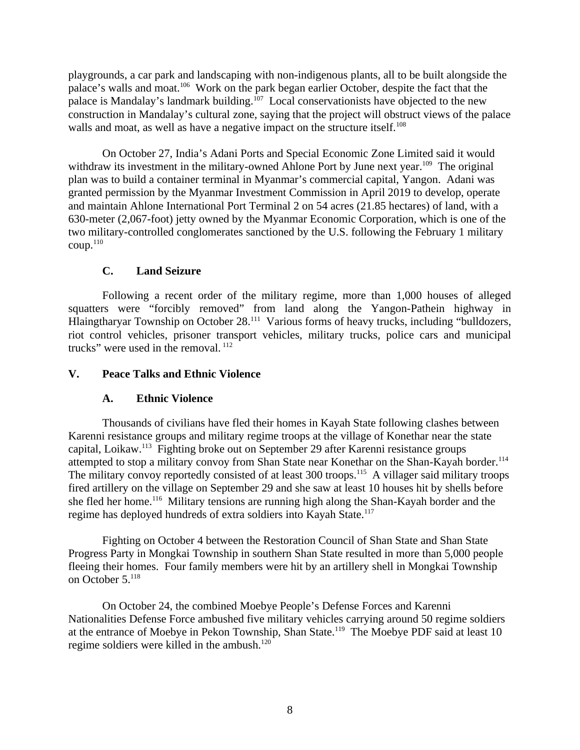playgrounds, a car park and landscaping with non-indigenous plants, all to be built alongside the palace's walls and moat.<sup>106</sup> Work on the park began earlier October, despite the fact that the palace is Mandalay's landmark building.<sup>107</sup> Local conservationists have objected to the new construction in Mandalay's cultural zone, saying that the project will obstruct views of the palace walls and moat, as well as have a negative impact on the structure itself.<sup>108</sup>

On October 27, India's Adani Ports and Special Economic Zone Limited said it would withdraw its investment in the military-owned Ahlone Port by June next year.<sup>109</sup> The original plan was to build a container terminal in Myanmar's commercial capital, Yangon. Adani was granted permission by the Myanmar Investment Commission in April 2019 to develop, operate and maintain Ahlone International Port Terminal 2 on 54 acres (21.85 hectares) of land, with a 630-meter (2,067-foot) jetty owned by the Myanmar Economic Corporation, which is one of the two military-controlled conglomerates sanctioned by the U.S. following the February 1 military coup.<sup>110</sup>

## <span id="page-7-2"></span>**C. Land Seizure**

Following a recent order of the military regime, more than 1,000 houses of alleged squatters were "forcibly removed" from land along the Yangon-Pathein highway in Hlaingtharyar Township on October 28.<sup>111</sup> Various forms of heavy trucks, including "bulldozers, riot control vehicles, prisoner transport vehicles, military trucks, police cars and municipal trucks" were used in the removal.  $112$ 

### **V. Peace Talks and Ethnic Violence**

## <span id="page-7-1"></span><span id="page-7-0"></span>**A. Ethnic Violence**

Thousands of civilians have fled their homes in Kayah State following clashes between Karenni resistance groups and military regime troops at the village of Konethar near the state capital, Loikaw.<sup>113</sup> Fighting broke out on September 29 after Karenni resistance groups attempted to stop a military convoy from Shan State near Konethar on the Shan-Kayah border.<sup>114</sup> The military convoy reportedly consisted of at least 300 troops.<sup>115</sup> A villager said military troops fired artillery on the village on September 29 and she saw at least 10 houses hit by shells before she fled her home.<sup>116</sup> Military tensions are running high along the Shan-Kayah border and the regime has deployed hundreds of extra soldiers into Kayah State.<sup>117</sup>

Fighting on October 4 between the Restoration Council of Shan State and Shan State Progress Party in Mongkai Township in southern Shan State resulted in more than 5,000 people fleeing their homes. Four family members were hit by an artillery shell in Mongkai Township on October 5.<sup>118</sup>

On October 24, the combined Moebye People's Defense Forces and Karenni Nationalities Defense Force ambushed five military vehicles carrying around 50 regime soldiers at the entrance of Moebye in Pekon Township, Shan State.<sup>119</sup> The Moebye PDF said at least 10 regime soldiers were killed in the ambush.<sup>120</sup>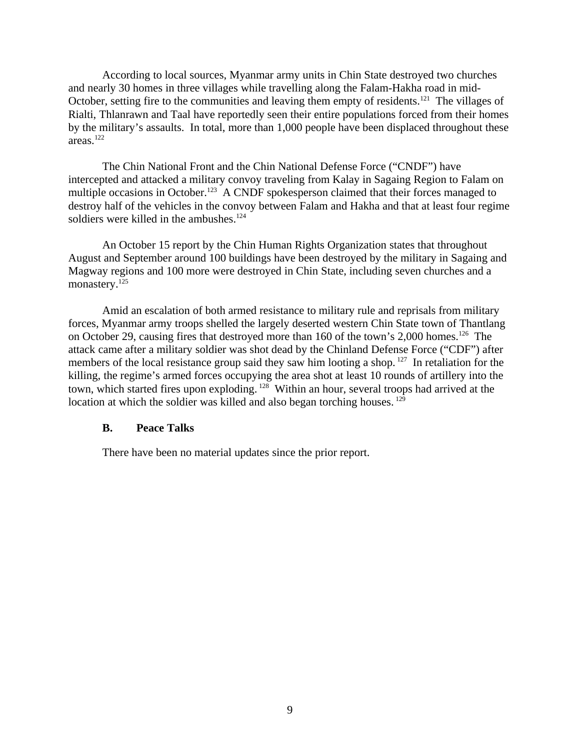According to local sources, Myanmar army units in Chin State destroyed two churches and nearly 30 homes in three villages while travelling along the Falam-Hakha road in mid-October, setting fire to the communities and leaving them empty of residents.<sup>121</sup> The villages of Rialti, Thlanrawn and Taal have reportedly seen their entire populations forced from their homes by the military's assaults. In total, more than 1,000 people have been displaced throughout these areas.<sup>122</sup>

The Chin National Front and the Chin National Defense Force ("CNDF") have intercepted and attacked a military convoy traveling from Kalay in Sagaing Region to Falam on multiple occasions in October.<sup>123</sup> A CNDF spokesperson claimed that their forces managed to destroy half of the vehicles in the convoy between Falam and Hakha and that at least four regime soldiers were killed in the ambushes. $124$ 

An October 15 report by the Chin Human Rights Organization states that throughout August and September around 100 buildings have been destroyed by the military in Sagaing and Magway regions and 100 more were destroyed in Chin State, including seven churches and a monastery.<sup>125</sup>

Amid an escalation of both armed resistance to military rule and reprisals from military forces, Myanmar army troops shelled the largely deserted western Chin State town of Thantlang on October 29, causing fires that destroyed more than 160 of the town's 2,000 homes.<sup>126</sup> The attack came after a military soldier was shot dead by the Chinland Defense Force ("CDF") after members of the local resistance group said they saw him looting a shop.<sup>127</sup> In retaliation for the killing, the regime's armed forces occupying the area shot at least 10 rounds of artillery into the town, which started fires upon exploding. <sup>128</sup> Within an hour, several troops had arrived at the location at which the soldier was killed and also began torching houses.  $^{129}$ 

#### <span id="page-8-0"></span>**B. Peace Talks**

There have been no material updates since the prior report.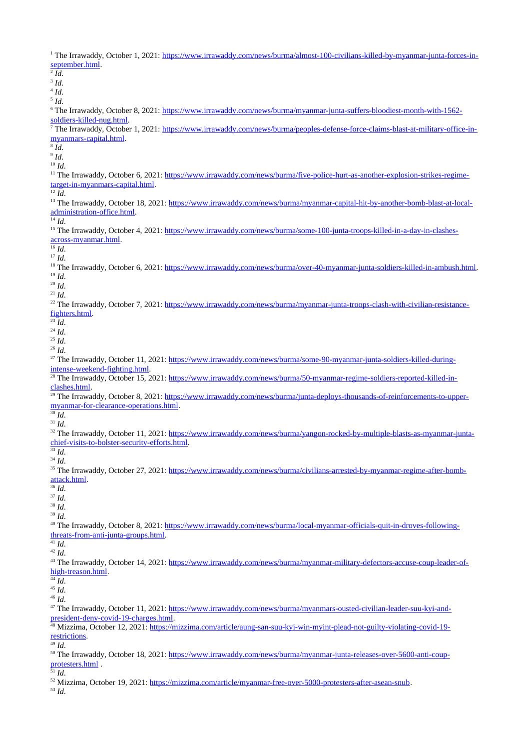<sup>1</sup> The Irrawaddy, October 1, 2021: [https://www.irrawaddy.com/news/burma/almost-100-civilians-killed-by-myanmar-junta-forces-in](https://www.irrawaddy.com/news/burma/almost-100-civilians-killed-by-myanmar-junta-forces-in-september.html)[september.html.](https://www.irrawaddy.com/news/burma/almost-100-civilians-killed-by-myanmar-junta-forces-in-september.html) 2 *Id*. 3 *Id*. 4 *Id*. 5 *Id*. <sup>6</sup> The Irrawaddy, October 8, 2021: <u>https://www.irrawaddy.com/news/burma/myanmar-junta-suffers-bloodiest-month-with-1562-</u> [soldiers-killed-nug.html.](https://www.irrawaddy.com/news/burma/myanmar-junta-suffers-bloodiest-month-with-1562-soldiers-killed-nug.html) <sup>7</sup> The Irrawaddy, October 1, 2021: <u>https://www.irrawaddy.com/news/burma/peoples-defense-force-claims-blast-at-military-office-in-</u> [myanmars-capital.html.](https://www.irrawaddy.com/news/burma/peoples-defense-force-claims-blast-at-military-office-in-myanmars-capital.html) 8 *Id*. 9 *Id*. <sup>10</sup> *Id*. <sup>11</sup> The Irrawaddy, October 6, 2021: [https://www.irrawaddy.com/news/burma/five-police-hurt-as-another-explosion-strikes-regime](https://www.irrawaddy.com/news/burma/five-police-hurt-as-another-explosion-strikes-regime-target-in-myanmars-capital.html)[target-in-myanmars-capital.html.](https://www.irrawaddy.com/news/burma/five-police-hurt-as-another-explosion-strikes-regime-target-in-myanmars-capital.html)  $\overline{\phantom{a}^{12} \, Id.}$ <sup>13</sup> The Irrawaddy, October 18, 2021: [https://www.irrawaddy.com/news/burma/myanmar-capital-hit-by-another-bomb-blast-at-local](https://www.irrawaddy.com/news/burma/myanmar-capital-hit-by-another-bomb-blast-at-local-administration-office.html)[administration-office.html.](https://www.irrawaddy.com/news/burma/myanmar-capital-hit-by-another-bomb-blast-at-local-administration-office.html)  $\overline{^{14}$  *Id*. 15 The Irrawaddy, October 4, 2021: [https://www.irrawaddy.com/news/burma/some-100-junta-troops-killed-in-a-day-in-clashes](https://www.irrawaddy.com/news/burma/some-100-junta-troops-killed-in-a-day-in-clashes-across-myanmar.html)[across-myanmar.html.](https://www.irrawaddy.com/news/burma/some-100-junta-troops-killed-in-a-day-in-clashes-across-myanmar.html)  $\overline{\phantom{a}^{16}}\phantom{a}Id.$ <sup>17</sup> *Id*. <sup>18</sup> The Irrawaddy, October 6, 2021: [https://www.irrawaddy.com/news/burma/over-40-myanmar-junta-soldiers-killed-in-ambush.html.](https://www.irrawaddy.com/news/burma/over-40-myanmar-junta-soldiers-killed-in-ambush.html) <sup>19</sup> *Id*. <sup>20</sup> *Id*. <sup>21</sup> *Id*. <sup>22</sup> The Irrawaddy, October 7, 2021: [https://www.irrawaddy.com/news/burma/myanmar-junta-troops-clash-with-civilian-resistance](https://www.irrawaddy.com/news/burma/myanmar-junta-troops-clash-with-civilian-resistance-fighters.html)[fighters.html.](https://www.irrawaddy.com/news/burma/myanmar-junta-troops-clash-with-civilian-resistance-fighters.html)  $^{23}$ *Id.* <sup>24</sup> *Id*. <sup>25</sup> *Id*. <sup>26</sup> *Id*. <sup>27</sup> The Irrawaddy, October 11, 2021: [https://www.irrawaddy.com/news/burma/some-90-myanmar-junta-soldiers-killed-during](https://www.irrawaddy.com/news/burma/some-90-myanmar-junta-soldiers-killed-during-intense-weekend-fighting.html)[intense-weekend-fighting.html.](https://www.irrawaddy.com/news/burma/some-90-myanmar-junta-soldiers-killed-during-intense-weekend-fighting.html) <sup>28</sup> The Irrawaddy, October 15, 2021: [https://www.irrawaddy.com/news/burma/50-myanmar-regime-soldiers-reported-killed-in](https://www.irrawaddy.com/news/burma/50-myanmar-regime-soldiers-reported-killed-in-clashes.html)[clashes.html.](https://www.irrawaddy.com/news/burma/50-myanmar-regime-soldiers-reported-killed-in-clashes.html) <sup>29</sup> The Irrawaddy, October 8, 2021: [https://www.irrawaddy.com/news/burma/junta-deploys-thousands-of-reinforcements-to-upper](https://www.irrawaddy.com/news/burma/junta-deploys-thousands-of-reinforcements-to-upper-myanmar-for-clearance-operations.html)[myanmar-for-clearance-operations.html.](https://www.irrawaddy.com/news/burma/junta-deploys-thousands-of-reinforcements-to-upper-myanmar-for-clearance-operations.html)  $30$   $\mathrm{Id}$ . <sup>31</sup> *Id*. <sup>32</sup> The Irrawaddy, October 11, 2021: [https://www.irrawaddy.com/news/burma/yangon-rocked-by-multiple-blasts-as-myanmar-junta](https://www.irrawaddy.com/news/burma/yangon-rocked-by-multiple-blasts-as-myanmar-junta-chief-visits-to-bolster-security-efforts.html)[chief-visits-to-bolster-security-efforts.html.](https://www.irrawaddy.com/news/burma/yangon-rocked-by-multiple-blasts-as-myanmar-junta-chief-visits-to-bolster-security-efforts.html) <sup>33</sup> *Id*. <sup>34</sup> *Id*. <sup>35</sup> The Irrawaddy, October 27, 2021: [https://www.irrawaddy.com/news/burma/civilians-arrested-by-myanmar-regime-after-bomb](https://www.irrawaddy.com/news/burma/civilians-arrested-by-myanmar-regime-after-bomb-attack.html)[attack.html.](https://www.irrawaddy.com/news/burma/civilians-arrested-by-myanmar-regime-after-bomb-attack.html) <sup>36</sup> *Id*. <sup>37</sup> *Id*. <sup>38</sup> *Id*. <sup>39</sup> *Id*. 40 The Irrawaddy, October 8, 2021: [https://www.irrawaddy.com/news/burma/local-myanmar-officials-quit-in-droves-following](https://www.irrawaddy.com/news/burma/local-myanmar-officials-quit-in-droves-following-threats-from-anti-junta-groups.html)[threats-from-anti-junta-groups.html.](https://www.irrawaddy.com/news/burma/local-myanmar-officials-quit-in-droves-following-threats-from-anti-junta-groups.html)  $\overline{41}$  *Id.* <sup>42</sup> *Id*. <sup>43</sup> The Irrawaddy, October 14, 2021: [https://www.irrawaddy.com/news/burma/myanmar-military-defectors-accuse-coup-leader-of](https://www.irrawaddy.com/news/burma/myanmar-military-defectors-accuse-coup-leader-of-high-treason.html)[high-treason.html.](https://www.irrawaddy.com/news/burma/myanmar-military-defectors-accuse-coup-leader-of-high-treason.html)  $44$   $\overline{Id}$ . <sup>45</sup> *Id*. <sup>46</sup> *Id*. <sup>47</sup> The Irrawaddy, October 11, 2021: [https://www.irrawaddy.com/news/burma/myanmars-ousted-civilian-leader-suu-kyi-and](https://www.irrawaddy.com/news/burma/myanmars-ousted-civilian-leader-suu-kyi-and-president-deny-covid-19-charges.html)[president-deny-covid-19-charges.html.](https://www.irrawaddy.com/news/burma/myanmars-ousted-civilian-leader-suu-kyi-and-president-deny-covid-19-charges.html) 48 Mizzima, October 12, 2021: [https://mizzima.com/article/aung-san-suu-kyi-win-myint-plead-not-guilty-violating-covid-19](https://mizzima.com/article/aung-san-suu-kyi-win-myint-plead-not-guilty-violating-covid-19-restrictions) [restrictions.](https://mizzima.com/article/aung-san-suu-kyi-win-myint-plead-not-guilty-violating-covid-19-restrictions) <sup>49</sup> *Id*. <sup>50</sup> The Irrawaddy, October 18, 2021: [https://www.irrawaddy.com/news/burma/myanmar-junta-releases-over-5600-anti-coup](https://www.irrawaddy.com/news/burma/myanmar-junta-releases-over-5600-anti-coup-protesters.html)[protesters.html](https://www.irrawaddy.com/news/burma/myanmar-junta-releases-over-5600-anti-coup-protesters.html) .  $51$  *Id.* <sup>52</sup> Mizzima, October 19, 2021: [https://mizzima.com/article/myanmar-free-over-5000-protesters-after-asean-snub.](https://mizzima.com/article/myanmar-free-over-5000-protesters-after-asean-snub) <sup>53</sup> *Id*.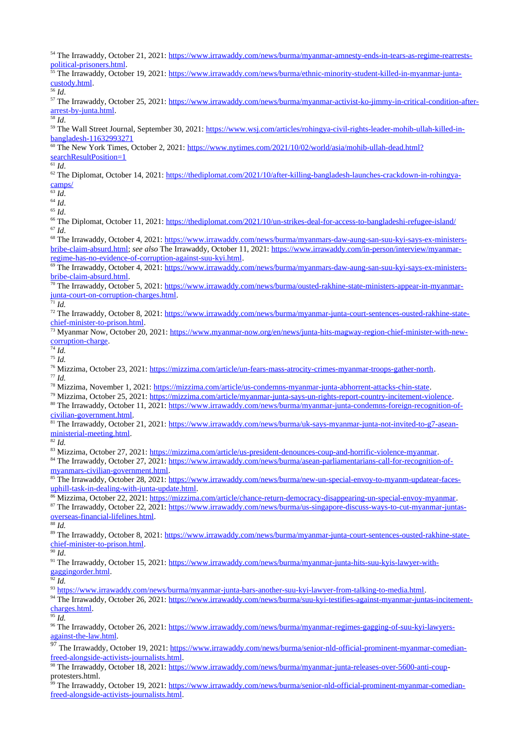54 The Irrawaddy, October 21, 2021: [https://www.irrawaddy.com/news/burma/myanmar-amnesty-ends-in-tears-as-regime-rearrests](https://www.irrawaddy.com/news/burma/myanmar-amnesty-ends-in-tears-as-regime-rearrests-political-prisoners.html)[political-prisoners.html.](https://www.irrawaddy.com/news/burma/myanmar-amnesty-ends-in-tears-as-regime-rearrests-political-prisoners.html)

<sup>55</sup> The Irrawaddy, October 19, 2021: <u>https://www.irrawaddy.com/news/burma/ethnic-minority-student-killed-in-myanmar-junta-</u> [custody.html.](https://www.irrawaddy.com/news/burma/ethnic-minority-student-killed-in-myanmar-junta-custody.html)

<sup>56</sup> *Id*.

<sup>57</sup> The Irrawaddy, October 25, 2021: [https://www.irrawaddy.com/news/burma/myanmar-activist-ko-jimmy-in-critical-condition-after](https://www.irrawaddy.com/news/burma/myanmar-activist-ko-jimmy-in-critical-condition-after-arrest-by-junta.html)[arrest-by-junta.html.](https://www.irrawaddy.com/news/burma/myanmar-activist-ko-jimmy-in-critical-condition-after-arrest-by-junta.html)

<sup>58</sup> *Id*.

<sup>59</sup> The Wall Street Journal, September 30, 2021: [https://www.wsj.com/articles/rohingya-civil-rights-leader-mohib-ullah-killed-in](https://www.wsj.com/articles/rohingya-civil-rights-leader-mohib-ullah-killed-in-bangladesh-11632993271)[bangladesh-11632993271](https://www.wsj.com/articles/rohingya-civil-rights-leader-mohib-ullah-killed-in-bangladesh-11632993271)

 $60$  The New York Times, October 2, 2021: [https://www.nytimes.com/2021/10/02/world/asia/mohib-ullah-dead.html?](https://www.nytimes.com/2021/10/02/world/asia/mohib-ullah-dead.html?searchResultPosition=1) [searchResultPosition=1](https://www.nytimes.com/2021/10/02/world/asia/mohib-ullah-dead.html?searchResultPosition=1)

 $61$  *Id.* 

 $62$  The Diplomat, October 14, 2021: [https://thediplomat.com/2021/10/after-killing-bangladesh-launches-crackdown-in-rohingya](https://thediplomat.com/2021/10/after-killing-bangladesh-launches-crackdown-in-rohingya-camps/)[camps/](https://thediplomat.com/2021/10/after-killing-bangladesh-launches-crackdown-in-rohingya-camps/)

 $\overline{63}$  *Id*.

 $64 \overline{Id}$ . <sup>65</sup> *Id*.

<sup>66</sup> The Diplomat, October 11, 2021:<https://thediplomat.com/2021/10/un-strikes-deal-for-access-to-bangladeshi-refugee-island/> <sup>67</sup> *Id*.

<sup>68</sup> The Irrawaddy, October 4, 2021: [https://www.irrawaddy.com/news/burma/myanmars-daw-aung-san-suu-kyi-says-ex-ministers](https://www.irrawaddy.com/news/burma/myanmars-daw-aung-san-suu-kyi-says-ex-ministers-bribe-claim-absurd.html)[bribe-claim-absurd.html;](https://www.irrawaddy.com/news/burma/myanmars-daw-aung-san-suu-kyi-says-ex-ministers-bribe-claim-absurd.html) *see also* The Irrawaddy, October 11, 2021: [https://www.irrawaddy.com/in-person/interview/myanmar](https://www.irrawaddy.com/in-person/interview/myanmar-regime-has-no-evidence-of-corruption-against-suu-kyi.html)[regime-has-no-evidence-of-corruption-against-suu-kyi.html.](https://www.irrawaddy.com/in-person/interview/myanmar-regime-has-no-evidence-of-corruption-against-suu-kyi.html)

<sup>69</sup> The Irrawaddy, October 4, 2021: [https://www.irrawaddy.com/news/burma/myanmars-daw-aung-san-suu-kyi-says-ex-ministers](https://www.irrawaddy.com/news/burma/myanmars-daw-aung-san-suu-kyi-says-ex-ministers-bribe-claim-absurd.html)[bribe-claim-absurd.html.](https://www.irrawaddy.com/news/burma/myanmars-daw-aung-san-suu-kyi-says-ex-ministers-bribe-claim-absurd.html)

<sup>70</sup> The Irrawaddy, October 5, 2021: [https://www.irrawaddy.com/news/burma/ousted-rakhine-state-ministers-appear-in-myanmar](https://www.irrawaddy.com/news/burma/ousted-rakhine-state-ministers-appear-in-myanmar-junta-court-on-corruption-charges.html?__cf_chl_jschl_tk__=pmd__LiPDww.SvKKeDRbDnisdGDRLeAZw0uv4TIPxRg2P2g-1635870403-0-gqNtZGzNAqWjcnBszQiR)[junta-court-on-corruption-charges.html.](https://www.irrawaddy.com/news/burma/ousted-rakhine-state-ministers-appear-in-myanmar-junta-court-on-corruption-charges.html?__cf_chl_jschl_tk__=pmd__LiPDww.SvKKeDRbDnisdGDRLeAZw0uv4TIPxRg2P2g-1635870403-0-gqNtZGzNAqWjcnBszQiR)

<sup>71</sup> *Id.*

<sup>72</sup> The Irrawaddy, October 8, 2021: [https://www.irrawaddy.com/news/burma/myanmar-junta-court-sentences-ousted-rakhine-state](https://www.irrawaddy.com/news/burma/myanmar-junta-court-sentences-ousted-rakhine-state-chief-minister-to-prison.html?__cf_chl_jschl_tk__=pmd_v8IjHHVcH8Qipcgq7CDAbx5PVM5vvcn_GDGkemDbd24-1635870824-0-gqNtZGzNApCjcnBszQil)[chief-minister-to-prison.html.](https://www.irrawaddy.com/news/burma/myanmar-junta-court-sentences-ousted-rakhine-state-chief-minister-to-prison.html?__cf_chl_jschl_tk__=pmd_v8IjHHVcH8Qipcgq7CDAbx5PVM5vvcn_GDGkemDbd24-1635870824-0-gqNtZGzNApCjcnBszQil)

<sup>73</sup> Myanmar Now, October 20, 2021: [https://www.myanmar-now.org/en/news/junta-hits-magway-region-chief-minister-with-new](https://www.myanmar-now.org/en/news/junta-hits-magway-region-chief-minister-with-new-corruption-charge)[corruption-charge.](https://www.myanmar-now.org/en/news/junta-hits-magway-region-chief-minister-with-new-corruption-charge)

<sup>74</sup> *Id.*

<sup>75</sup> *Id.*

<sup>76</sup> Mizzima, October 23, 2021: [https://mizzima.com/article/un-fears-mass-atrocity-crimes-myanmar-troops-gather-north.](https://mizzima.com/article/un-fears-mass-atrocity-crimes-myanmar-troops-gather-north) <sup>77</sup> *Id.*

<sup>78</sup> Mizzima, November 1, 2021: [https://mizzima.com/article/us-condemns-myanmar-junta-abhorrent-attacks-chin-state.](https://mizzima.com/article/us-condemns-myanmar-junta-abhorrent-attacks-chin-state)

<sup>79</sup> Mizzima, October 25, 2021: [https://mizzima.com/article/myanmar-junta-says-un-rights-report-country-incitement-violence.](https://mizzima.com/article/myanmar-junta-says-un-rights-report-country-incitement-violence)

<sup>80</sup> The Irrawaddy, October 11, 2021: [https://www.irrawaddy.com/news/burma/myanmar-junta-condemns-foreign-recognition-of](https://www.irrawaddy.com/news/burma/myanmar-junta-condemns-foreign-recognition-of-civilian-government.html)[civilian-government.html.](https://www.irrawaddy.com/news/burma/myanmar-junta-condemns-foreign-recognition-of-civilian-government.html)

81 The Irrawaddy, October 21, 2021: [https://www.irrawaddy.com/news/burma/uk-says-myanmar-junta-not-invited-to-g7-asean](https://www.irrawaddy.com/news/burma/uk-says-myanmar-junta-not-invited-to-g7-asean-ministerial-meeting.html)[ministerial-meeting.html.](https://www.irrawaddy.com/news/burma/uk-says-myanmar-junta-not-invited-to-g7-asean-ministerial-meeting.html)

<sup>82</sup> *Id.*

83 Mizzima, October 27, 2021: [https://mizzima.com/article/us-president-denounces-coup-and-horrific-violence-myanmar.](https://mizzima.com/article/us-president-denounces-coup-and-horrific-violence-myanmar)

<sup>84</sup> The Irrawaddy, October 27, 2021: [https://www.irrawaddy.com/news/burma/asean-parliamentarians-call-for-recognition-of](https://www.irrawaddy.com/news/burma/asean-parliamentarians-call-for-recognition-of-myanmars-civilian-government.html)[myanmars-civilian-government.html.](https://www.irrawaddy.com/news/burma/asean-parliamentarians-call-for-recognition-of-myanmars-civilian-government.html)

85 The Irrawaddy, October 28, 2021: [https://www.irrawaddy.com/news/burma/new-un-special-envoy-to-myanm-updatear-faces](https://www.irrawaddy.com/news/burma/new-un-special-envoy-to-myanm-updatear-faces-uphill-task-in-dealing-with-junta-update.html)[uphill-task-in-dealing-with-junta-update.html.](https://www.irrawaddy.com/news/burma/new-un-special-envoy-to-myanm-updatear-faces-uphill-task-in-dealing-with-junta-update.html)

<sup>86</sup> Mizzima, October 22, 2021: [https://mizzima.com/article/chance-return-democracy-disappearing-un-special-envoy-myanmar.](https://mizzima.com/article/chance-return-democracy-disappearing-un-special-envoy-myanmar)

<sup>87</sup> The Irrawaddy, October 22, 2021: [https://www.irrawaddy.com/news/burma/us-singapore-discuss-ways-to-cut-myanmar-juntas](https://www.irrawaddy.com/news/burma/us-singapore-discuss-ways-to-cut-myanmar-juntas-overseas-financial-lifelines.html)[overseas-financial-lifelines.html.](https://www.irrawaddy.com/news/burma/us-singapore-discuss-ways-to-cut-myanmar-juntas-overseas-financial-lifelines.html)

<sup>88</sup> *Id.*

<sup>89</sup> The Irrawaddy, October 8, 2021: [https://www.irrawaddy.com/news/burma/myanmar-junta-court-sentences-ousted-rakhine-state](https://www.irrawaddy.com/news/burma/myanmar-junta-court-sentences-ousted-rakhine-state-chief-minister-to-prison.html)[chief-minister-to-prison.html.](https://www.irrawaddy.com/news/burma/myanmar-junta-court-sentences-ousted-rakhine-state-chief-minister-to-prison.html)

 $90$  *Id.* 

91 The Irrawaddy, October 15, 2021: [https://www.irrawaddy.com/news/burma/myanmar-junta-hits-suu-kyis-lawyer-with](https://www.irrawaddy.com/news/burma/myanmar-junta-hits-suu-kyis-lawyer-with-gaggingorder.html?__cf_chl_jschl_tk__=pmd_OsngiTKnxWaLMSRKT9uVpADkUjfL6k9aiVkcrAFOw3c-1634566746-0-gqNtZGzNAlCjcnBszQil)[gaggingorder.html.](https://www.irrawaddy.com/news/burma/myanmar-junta-hits-suu-kyis-lawyer-with-gaggingorder.html?__cf_chl_jschl_tk__=pmd_OsngiTKnxWaLMSRKT9uVpADkUjfL6k9aiVkcrAFOw3c-1634566746-0-gqNtZGzNAlCjcnBszQil)

 $92 \overline{Id}$ .

<sup>93</sup> [https://www.irrawaddy.com/news/burma/myanmar-junta-bars-another-suu-kyi-lawyer-from-talking-to-media.html.](https://www.irrawaddy.com/news/burma/myanmar-junta-bars-another-suu-kyi-lawyer-from-talking-to-media.html)

94 The Irrawaddy, October 26, 2021: [https://www.irrawaddy.com/news/burma/suu-kyi-testifies-against-myanmar-juntas-incitement](https://www.irrawaddy.com/news/burma/suu-kyi-testifies-against-myanmar-juntas-incitement-charges.html)[charges.html.](https://www.irrawaddy.com/news/burma/suu-kyi-testifies-against-myanmar-juntas-incitement-charges.html)

<sup>95</sup> *Id.*

96 The Irrawaddy, October 26, 2021: [https://www.irrawaddy.com/news/burma/myanmar-regimes-gagging-of-suu-kyi-lawyers](https://www.irrawaddy.com/news/burma/myanmar-regimes-gagging-of-suu-kyi-lawyers-against-the-law.html)[against-the-law.html.](https://www.irrawaddy.com/news/burma/myanmar-regimes-gagging-of-suu-kyi-lawyers-against-the-law.html)

<sup>97</sup> The Irrawaddy, October 19, 2021: [https://www.irrawaddy.com/news/burma/senior-nld-official-prominent-myanmar-comedian](https://www.irrawaddy.com/news/burma/senior-nld-official-prominent-myanmar-comedian-freed-alongside-activists-journalists.html?__cf_chl_jschl_tk__=pmd_Y6V20ntRZg5RhqSZKSTTM08c9yiTQdcLk.us5VNhjLk-1635802342-0-gqNtZGzNAqWjcnBszQi9)[freed-alongside-activists-journalists.html.](https://www.irrawaddy.com/news/burma/senior-nld-official-prominent-myanmar-comedian-freed-alongside-activists-journalists.html?__cf_chl_jschl_tk__=pmd_Y6V20ntRZg5RhqSZKSTTM08c9yiTQdcLk.us5VNhjLk-1635802342-0-gqNtZGzNAqWjcnBszQi9)

<sup>98</sup> The Irrawaddy, October 18, 2021: <u>https://www.irrawaddy.com/news/burma/myanmar-junta-releases-over-5600-anti-coup</u>protesters.html.

<sup>99</sup> The Irrawaddy, October 19, 2021: [https://www.irrawaddy.com/news/burma/senior-nld-official-prominent-myanmar-comedian](https://www.irrawaddy.com/news/burma/senior-nld-official-prominent-myanmar-comedian-freed-alongside-activists-journalists.html?__cf_chl_jschl_tk__=pmd_Y6V20ntRZg5RhqSZKSTTM08c9yiTQdcLk.us5VNhjLk-1635802342-0-gqNtZGzNAqWjcnBszQi9)[freed-alongside-activists-journalists.html.](https://www.irrawaddy.com/news/burma/senior-nld-official-prominent-myanmar-comedian-freed-alongside-activists-journalists.html?__cf_chl_jschl_tk__=pmd_Y6V20ntRZg5RhqSZKSTTM08c9yiTQdcLk.us5VNhjLk-1635802342-0-gqNtZGzNAqWjcnBszQi9)